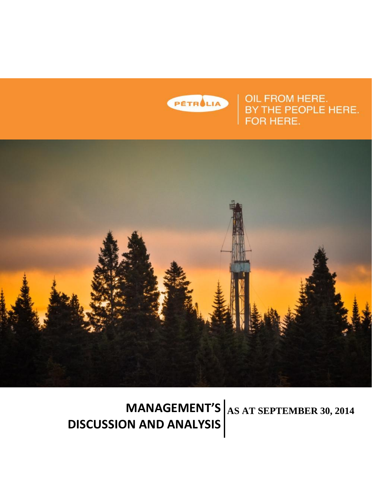

PETRUM OIL FROM HERE.<br>BY THE PEOPLE HERE.<br>FOR HERE.



**MANAGEMENT'S** AS AT SEPTEMBER 30, 2014 **DISCUSSION AND ANALYSIS**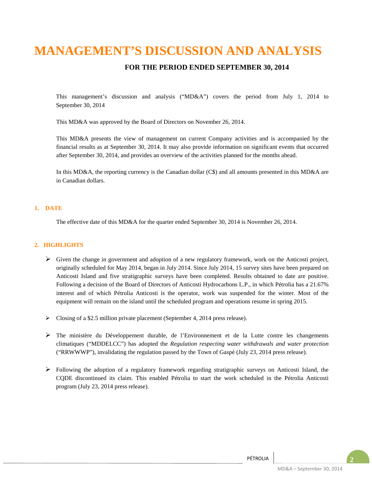# **MANAGEMENT'S DISCUSSION AND ANALYSIS**

### **FOR THE PERIOD ENDED SEPTEMBER 30, 2014**

This management's discussion and analysis ("MD&A") covers the period from July 1, 2014 to September 30, 2014

This MD&A was approved by the Board of Directors on November 26, 2014.

This MD&A presents the view of management on current Company activities and is accompanied by the financial results as at September 30, 2014. It may also provide information on significant events that occurred after September 30, 2014, and provides an overview of the activities planned for the months ahead.

In this MD&A, the reporting currency is the Canadian dollar (C\$) and all amounts presented in this MD&A are in Canadian dollars.

#### **1. DATE**

The effective date of this MD&A for the quarter ended September 30, 2014 is November 26, 2014.

#### **2. HIGHLIGHTS**

- $\triangleright$  Given the change in government and adoption of a new regulatory framework, work on the Anticosti project, originally scheduled for May 2014, began in July 2014. Since July 2014, 15 survey sites have been prepared on Anticosti Island and five stratigraphic surveys have been completed. Results obtained to date are positive. Following a decision of the Board of Directors of Anticosti Hydrocarbons L.P., in which Pétrolia has a 21.67% interest and of which Pétrolia Anticosti is the operator, work was suspended for the winter. Most of the equipment will remain on the island until the scheduled program and operations resume in spring 2015.
- Closing of a \$2.5 million private placement (September 4, 2014 press release).
- $\triangleright$  The ministère du Développement durable, de l'Environnement et de la Lutte contre les changements climatiques ("MDDELCC") has adopted the *Regulation respecting water withdrawals and water protection* ("RRWWWP"), invalidating the regulation passed by the Town of Gaspé (July 23, 2014 press release).
- $\triangleright$  Following the adoption of a regulatory framework regarding stratigraphic surveys on Anticosti Island, the CQDE discontinued its claim. This enabled Pétrolia to start the work scheduled in the Pétrolia Anticosti program (July 23, 2014 press release).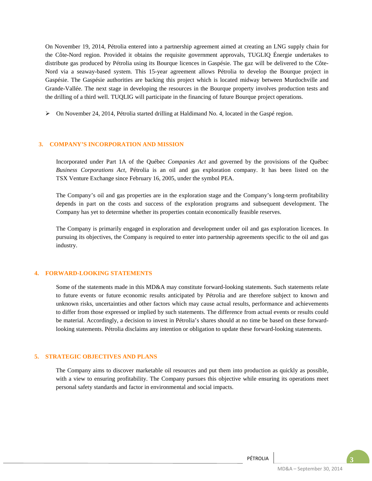On November 19, 2014, Pétrolia entered into a partnership agreement aimed at creating an LNG supply chain for the Côte-Nord region. Provided it obtains the requisite government approvals, TUGLIQ Énergie undertakes to distribute gas produced by Pétrolia using its Bourque licences in Gaspésie. The gaz will be delivered to the Côte-Nord via a seaway-based system. This 15-year agreement allows Pétrolia to develop the Bourque project in Gaspésie. The Gaspésie authorities are backing this project which is located midway between Murdochville and Grande-Vallée. The next stage in developing the resources in the Bourque property involves production tests and the drilling of a third well. TUQLIG will participate in the financing of future Bourque project operations.

On November 24, 2014, Pétrolia started drilling at Haldimand No. 4, located in the Gaspé region.

#### **3. COMPANY'S INCORPORATION AND MISSION**

Incorporated under Part 1A of the Québec *Companies Act* and governed by the provisions of the Québec *Business Corporations Act*, Pétrolia is an oil and gas exploration company. It has been listed on the TSX Venture Exchange since February 16, 2005, under the symbol PEA.

The Company's oil and gas properties are in the exploration stage and the Company's long-term profitability depends in part on the costs and success of the exploration programs and subsequent development. The Company has yet to determine whether its properties contain economically feasible reserves.

The Company is primarily engaged in exploration and development under oil and gas exploration licences. In pursuing its objectives, the Company is required to enter into partnership agreements specific to the oil and gas industry.

#### **4. FORWARD-LOOKING STATEMENTS**

Some of the statements made in this MD&A may constitute forward-looking statements. Such statements relate to future events or future economic results anticipated by Pétrolia and are therefore subject to known and unknown risks, uncertainties and other factors which may cause actual results, performance and achievements to differ from those expressed or implied by such statements. The difference from actual events or results could be material. Accordingly, a decision to invest in Pétrolia's shares should at no time be based on these forwardlooking statements. Pétrolia disclaims any intention or obligation to update these forward-looking statements.

#### **5. STRATEGIC OBJECTIVES AND PLANS**

The Company aims to discover marketable oil resources and put them into production as quickly as possible, with a view to ensuring profitability. The Company pursues this objective while ensuring its operations meet personal safety standards and factor in environmental and social impacts.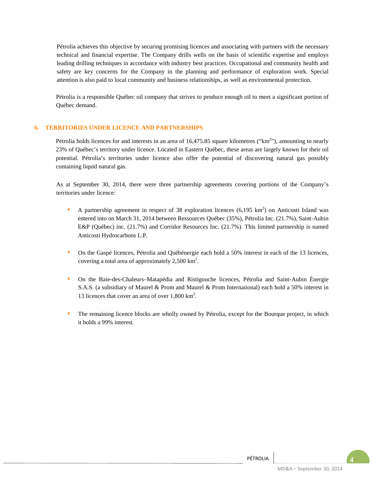Pétrolia achieves this objective by securing promising licences and associating with partners with the necessary technical and financial expertise. The Company drills wells on the basis of scientific expertise and employs leading drilling techniques in accordance with industry best practices. Occupational and community health and safety are key concerns for the Company in the planning and performance of exploration work. Special attention is also paid to local community and business relationships, as well as environmental protection.

Pétrolia is a responsible Québec oil company that strives to produce enough oil to meet a significant portion of Québec demand.

#### **6. TERRITORIES UNDER LICENCE AND PARTNERSHIPS**

Pétrolia holds licences for and interests in an area of  $16,475.85$  square kilometres ("km<sup>2</sup>"), amounting to nearly 23% of Québec's territory under licence. Located in Eastern Québec, these areas are largely known for their oil potential. Pétrolia's territories under licence also offer the potential of discovering natural gas possibly containing liquid natural gas.

As at September 30, 2014, there were three partnership agreements covering portions of the Company's territories under licence:

- A partnership agreement in respect of 38 exploration licences  $(6,195 \text{ km}^2)$  on Anticosti Island was entered into on March 31, 2014 between Ressources Québec (35%), Pétrolia Inc. (21.7%), Saint-Aubin E&P (Québec) inc. (21.7%) and Corridor Resources Inc. (21.7%). This limited partnership is named Anticosti Hydrocarbons L.P.
- On the Gaspé licences, Pétrolia and Québénergie each hold a 50% interest in each of the 13 licences, covering a total area of approximately  $2,500 \text{ km}^2$ .
- On the Baie-des-Chaleurs–Matapédia and Ristigouche licences, Pétrolia and Saint-Aubin Énergie S.A.S. (a subsidiary of Maurel & Prom and Maurel & Prom International) each hold a 50% interest in 13 licences that cover an area of over 1,800 km2 .
- The remaining licence blocks are wholly owned by Pétrolia, except for the Bourque project, in which it holds a 99% interest.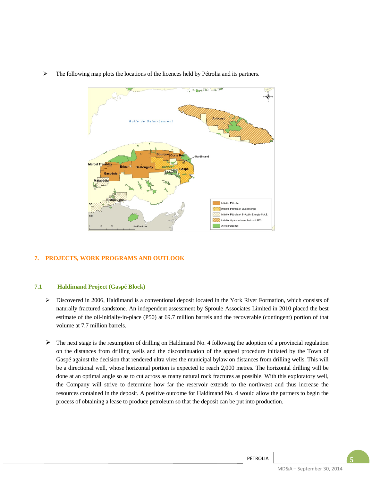

 $\triangleright$  The following map plots the locations of the licences held by Pétrolia and its partners.

#### **7. PROJECTS, WORK PROGRAMS AND OUTLOOK**

#### **7.1 Haldimand Project (Gaspé Block)**

- Discovered in 2006, Haldimand is a conventional deposit located in the York River Formation, which consists of naturally fractured sandstone. An independent assessment by Sproule Associates Limited in 2010 placed the best estimate of the oil-initially-in-place (P50) at 69.7 million barrels and the recoverable (contingent) portion of that volume at 7.7 million barrels.
- $\triangleright$  The next stage is the resumption of drilling on Haldimand No. 4 following the adoption of a provincial regulation on the distances from drilling wells and the discontinuation of the appeal procedure initiated by the Town of Gaspé against the decision that rendered ultra vires the municipal bylaw on distances from drilling wells. This will be a directional well, whose horizontal portion is expected to reach 2,000 metres. The horizontal drilling will be done at an optimal angle so as to cut across as many natural rock fractures as possible. With this exploratory well, the Company will strive to determine how far the reservoir extends to the northwest and thus increase the resources contained in the deposit. A positive outcome for Haldimand No. 4 would allow the partners to begin the process of obtaining a lease to produce petroleum so that the deposit can be put into production.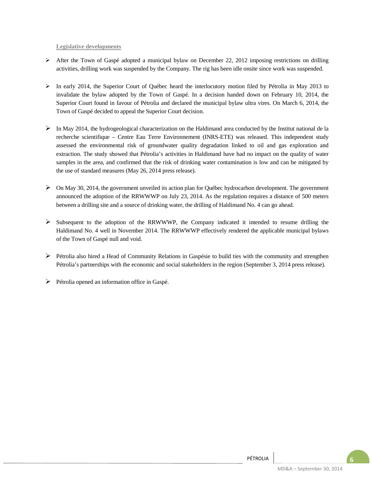**Legislative developments**

- $\triangleright$  After the Town of Gaspé adopted a municipal bylaw on December 22, 2012 imposing restrictions on drilling activities, drilling work was suspended by the Company. The rig has been idle onsite since work was suspended.
- $\triangleright$  In early 2014, the Superior Court of Québec heard the interlocutory motion filed by Pétrolia in May 2013 to invalidate the bylaw adopted by the Town of Gaspé. In a decision handed down on February 10, 2014, the Superior Court found in favour of Pétrolia and declared the municipal bylaw ultra vires. On March 6, 2014, the Town of Gaspé decided to appeal the Superior Court decision.
- $\triangleright$  In May 2014, the hydrogeological characterization on the Haldimand area conducted by the Institut national de la recherche scientifique – Centre Eau Terre Environnement (INRS-ETE) was released. This independent study assessed the environmental risk of groundwater quality degradation linked to oil and gas exploration and extraction. The study showed that Pétrolia's activities in Haldimand have had no impact on the quality of water samples in the area, and confirmed that the risk of drinking water contamination is low and can be mitigated by the use of standard measures (May 26, 2014 press release).
- On May 30, 2014, the government unveiled its action plan for Québec hydrocarbon development. The government announced the adoption of the RRWWWP on July 23, 2014. As the regulation requires a distance of 500 meters between a drilling site and a source of drinking water, the drilling of Haldimand No. 4 can go ahead.
- Subsequent to the adoption of the RRWWWP, the Company indicated it intended to resume drilling the Haldimand No. 4 well in November 2014. The RRWWWP effectively rendered the applicable municipal bylaws of the Town of Gaspé null and void.
- $\triangleright$  Pétrolia also hired a Head of Community Relations in Gaspésie to build ties with the community and strengthen Pétrolia's partnerships with the economic and social stakeholders in the region (September 3, 2014 press release).
- $\triangleright$  Pétrolia opened an information office in Gaspé.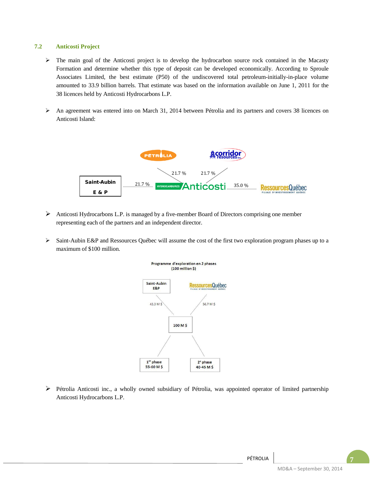#### **7.2 Anticosti Project**

- $\triangleright$  The main goal of the Anticosti project is to develop the hydrocarbon source rock contained in the Macasty Formation and determine whether this type of deposit can be developed economically. According to Sproule Associates Limited, the best estimate (P50) of the undiscovered total petroleum-initially-in-place volume amounted to 33.9 billion barrels. That estimate was based on the information available on June 1, 2011 for the 38 licences held by Anticosti Hydrocarbons L.P.
- $\triangleright$  An agreement was entered into on March 31, 2014 between Pétrolia and its partners and covers 38 licences on Anticosti Island:



- $\triangleright$  Anticosti Hydrocarbons L.P. is managed by a five-member Board of Directors comprising one member representing each of the partners and an independent director.
- Saint-Aubin E&P and Ressources Québec will assume the cost of the first two exploration program phases up to a maximum of \$100 million.



 Pétrolia Anticosti inc., a wholly owned subsidiary of Pétrolia, was appointed operator of limited partnership Anticosti Hydrocarbons L.P.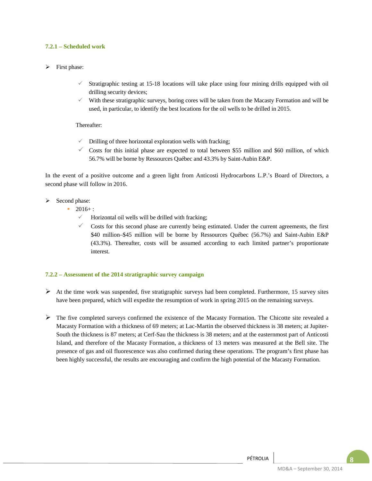#### **7.2.1 – Scheduled work**

#### $\triangleright$  First phase:

- Stratigraphic testing at 15-18 locations will take place using four mining drills equipped with oil drilling security devices;
- With these stratigraphic surveys, boring cores will be taken from the Macasty Formation and will be used, in particular, to identify the best locations for the oil wells to be drilled in 2015.

#### Thereafter:

- Drilling of three horizontal exploration wells with fracking;
- $\checkmark$  Costs for this initial phase are expected to total between \$55 million and \$60 million, of which 56.7% will be borne by Ressources Québec and 43.3% by Saint-Aubin E&P.

In the event of a positive outcome and a green light from Anticosti Hydrocarbons L.P.'s Board of Directors, a second phase will follow in 2016.

- $\triangleright$  Second phase:
	- $-2016+$ :
		- Horizontal oil wells will be drilled with fracking;
		- Costs for this second phase are currently being estimated. Under the current agreements, the first \$40 million–\$45 million will be borne by Ressources Québec (56.7%) and Saint-Aubin E&P (43.3%). Thereafter, costs will be assumed according to each limited partner's proportionate interest.

#### **7.2.2 – Assessment of the 2014 stratigraphic survey campaign**

- $\triangleright$  At the time work was suspended, five stratigraphic surveys had been completed. Furthermore, 15 survey sites have been prepared, which will expedite the resumption of work in spring 2015 on the remaining surveys.
- $\triangleright$  The five completed surveys confirmed the existence of the Macasty Formation. The Chicotte site revealed a Macasty Formation with a thickness of 69 meters; at Lac-Martin the observed thickness is 38 meters; at Jupiter-South the thickness is 87 meters; at Cerf-Sau the thickness is 38 meters; and at the easternmost part of Anticosti Island, and therefore of the Macasty Formation, a thickness of 13 meters was measured at the Bell site. The presence of gas and oil fluorescence was also confirmed during these operations. The program's first phase has been highly successful, the results are encouraging and confirm the high potential of the Macasty Formation.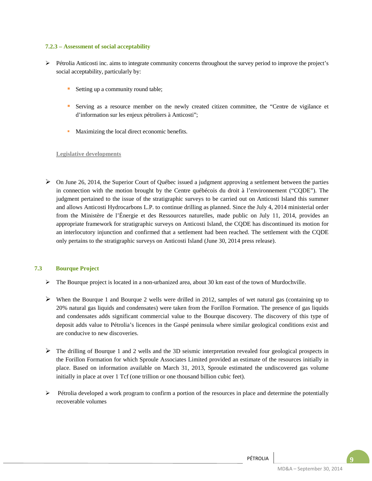#### **7.2.3 – Assessment of social acceptability**

- $\triangleright$  Pétrolia Anticosti inc. aims to integrate community concerns throughout the survey period to improve the project's social acceptability, particularly by:
	- Setting up a community round table;
	- Serving as a resource member on the newly created citizen committee, the "Centre de vigilance et d'information sur les enjeux pétroliers à Anticosti";
	- Maximizing the local direct economic benefits.

#### **Legislative developments**

 $\triangleright$  On June 26, 2014, the Superior Court of Québec issued a judgment approving a settlement between the parties in connection with the motion brought by the Centre québécois du droit à l'environnement ("CQDE"). The judgment pertained to the issue of the stratigraphic surveys to be carried out on Anticosti Island this summer and allows Anticosti Hydrocarbons L.P. to continue drilling as planned. Since the July 4, 2014 ministerial order from the Ministère de l'Énergie et des Ressources naturelles, made public on July 11, 2014, provides an appropriate framework for stratigraphic surveys on Anticosti Island, the CQDE has discontinued its motion for an interlocutory injunction and confirmed that a settlement had been reached. The settlement with the CQDE only pertains to the stratigraphic surveys on Anticosti Island (June 30, 2014 press release).

#### **7.3 Bourque Project**

- $\triangleright$  The Bourque project is located in a non-urbanized area, about 30 km east of the town of Murdochville.
- $\triangleright$  When the Bourque 1 and Bourque 2 wells were drilled in 2012, samples of wet natural gas (containing up to 20% natural gas liquids and condensates) were taken from the Forillon Formation. The presence of gas liquids and condensates adds significant commercial value to the Bourque discovery. The discovery of this type of deposit adds value to Pétrolia's licences in the Gaspé peninsula where similar geological conditions exist and are conducive to new discoveries.
- $\triangleright$  The drilling of Bourque 1 and 2 wells and the 3D seismic interpretation revealed four geological prospects in the Forillon Formation for which Sproule Associates Limited provided an estimate of the resources initially in place. Based on information available on March 31, 2013, Sproule estimated the undiscovered gas volume initially in place at over 1 Tcf (one trillion or one thousand billion cubic feet).
- $\triangleright$  Pétrolia developed a work program to confirm a portion of the resources in place and determine the potentially recoverable volumes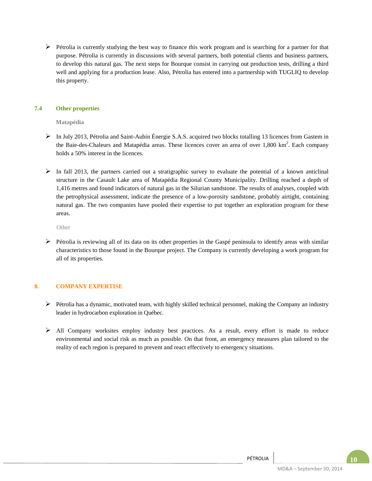$\triangleright$  Pétrolia is currently studying the best way to finance this work program and is searching for a partner for that purpose. Pétrolia is currently in discussions with several partners, both potential clients and business partners, to develop this natural gas. The next steps for Bourque consist in carrying out production tests, drilling a third well and applying for a production lease. Also, Pétrolia has entered into a partnership with TUGLIQ to develop this property.

#### **7.4 Other properties**

**Matapédia**

- $\triangleright$  In July 2013, Pétrolia and Saint-Aubin Énergie S.A.S. acquired two blocks totalling 13 licences from Gastem in the Baie-des-Chaleurs and Matapédia areas. These licences cover an area of over 1,800 km<sup>2</sup>. Each company holds a 50% interest in the licences.
- $\triangleright$  In fall 2013, the partners carried out a stratigraphic survey to evaluate the potential of a known anticlinal structure in the Casault Lake area of Matapédia Regional County Municipality. Drilling reached a depth of 1,416 metres and found indicators of natural gas in the Silurian sandstone. The results of analyses, coupled with the petrophysical assessment, indicate the presence of a low-porosity sandstone, probably airtight, containing natural gas. The two companies have pooled their expertise to put together an exploration program for these areas.

**Other** 

 $\triangleright$  Pétrolia is reviewing all of its data on its other properties in the Gaspé peninsula to identify areas with similar characteristics to those found in the Bourque project. The Company is currently developing a work program for all of its properties.

#### **8. COMPANY EXPERTISE**

- $\triangleright$  Pétrolia has a dynamic, motivated team, with highly skilled technical personnel, making the Company an industry leader in hydrocarbon exploration in Québec.
- All Company worksites employ industry best practices. As a result, every effort is made to reduce environmental and social risk as much as possible. On that front, an emergency measures plan tailored to the reality of each region is prepared to prevent and react effectively to emergency situations.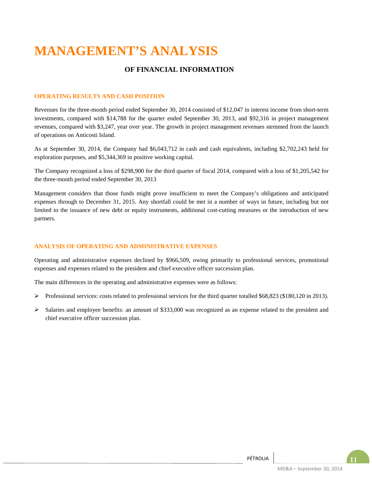# **MANAGEMENT'S ANALYSIS**

## **OF FINANCIAL INFORMATION**

#### **OPERATING RESULTS AND CASH POSITION**

Revenues for the three-month period ended September 30, 2014 consisted of \$12,047 in interest income from short-term investments, compared with \$14,788 for the quarter ended September 30, 2013, and \$92,316 in project management revenues, compared with \$3,247, year over year. The growth in project management revenues stemmed from the launch of operations on Anticosti Island.

As at September 30, 2014, the Company had \$6,043,712 in cash and cash equivalents, including \$2,702,243 held for exploration purposes, and \$5,344,369 in positive working capital.

The Company recognized a loss of \$298,900 for the third quarter of fiscal 2014, compared with a loss of \$1,205,542 for the three-month period ended September 30, 2013

Management considers that those funds might prove insufficient to meet the Company's obligations and anticipated expenses through to December 31, 2015. Any shortfall could be met in a number of ways in future, including but not limited to the issuance of new debt or equity instruments, additional cost-cutting measures or the introduction of new partners.

#### **ANALYSIS OF OPERATING AND ADMINISTRATIVE EXPENSES**

Operating and administrative expenses declined by \$966,509, owing primarily to professional services, promotional expenses and expenses related to the president and chief executive officer succession plan.

The main differences in the operating and administrative expenses were as follows:

- Professional services: costs related to professional services for the third quarter totalled  $$68,823$  (\$180,120 in 2013).
- $\triangleright$  Salaries and employee benefits: an amount of \$333,000 was recognized as an expense related to the president and chief executive officer succession plan.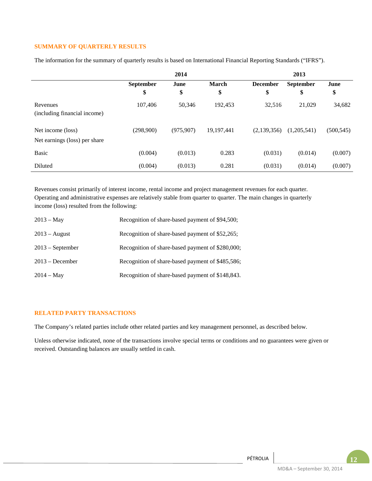#### **SUMMARY OF QUARTERLY RESULTS**

The information for the summary of quarterly results is based on International Financial Reporting Standards ("IFRS").

|                                                    |                        | 2014       |                    | 2013                  |                        |            |  |
|----------------------------------------------------|------------------------|------------|--------------------|-----------------------|------------------------|------------|--|
|                                                    | <b>September</b><br>\$ | June<br>\$ | <b>March</b><br>\$ | <b>December</b><br>\$ | <b>September</b><br>\$ | June<br>\$ |  |
| Revenues<br>(including financial income)           | 107,406                | 50,346     | 192.453            | 32,516                | 21,029                 | 34,682     |  |
| Net income (loss)<br>Net earnings (loss) per share | (298,900)              | (975, 907) | 19, 197, 441       | (2,139,356)           | (1,205,541)            | (500, 545) |  |
| <b>Basic</b>                                       | (0.004)                | (0.013)    | 0.283              | (0.031)               | (0.014)                | (0.007)    |  |
| Diluted                                            | (0.004)                | (0.013)    | 0.281              | (0.031)               | (0.014)                | (0.007)    |  |

Revenues consist primarily of interest income, rental income and project management revenues for each quarter. Operating and administrative expenses are relatively stable from quarter to quarter. The main changes in quarterly income (loss) resulted from the following:

| $2013 - May$       | Recognition of share-based payment of \$94,500;  |
|--------------------|--------------------------------------------------|
| $2013 - August$    | Recognition of share-based payment of \$52,265;  |
| $2013$ – September | Recognition of share-based payment of \$280,000; |
| $2013 - December$  | Recognition of share-based payment of \$485,586; |
| $2014 - May$       | Recognition of share-based payment of \$148,843. |

#### **RELATED PARTY TRANSACTIONS**

The Company's related parties include other related parties and key management personnel, as described below.

Unless otherwise indicated, none of the transactions involve special terms or conditions and no guarantees were given or received. Outstanding balances are usually settled in cash.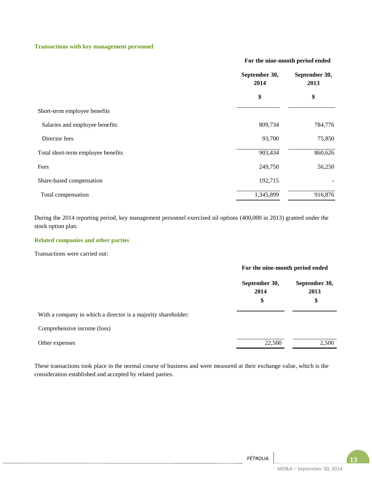#### **Transactions with key management personnel**

#### **For the nine-month period ended**

|                                    | September 30,<br>2014 | September 30,<br>2013 |  |
|------------------------------------|-----------------------|-----------------------|--|
|                                    | \$                    | \$                    |  |
| Short-term employee benefits       |                       |                       |  |
| Salaries and employee benefits     | 809,734               | 784,776               |  |
| Director fees                      | 93,700                | 75,850                |  |
| Total short-term employee benefits | 903,434               | 860,626               |  |
| Fees                               | 249,750               | 56,250                |  |
| Share-based compensation           | 192,715               |                       |  |
| Total compensation                 | 1,345,899             | 916,876               |  |

During the 2014 reporting period, key management personnel exercised nil options (400,000 in 2013) granted under the stock option plan.

#### **Related companies and other parties**

Transactions were carried out:

|                                                               | For the nine-month period ended |                             |
|---------------------------------------------------------------|---------------------------------|-----------------------------|
|                                                               | September 30,<br>2014<br>\$     | September 30,<br>2013<br>\$ |
| With a company in which a director is a majority shareholder: |                                 |                             |
| Comprehensive income (loss)                                   |                                 |                             |
| Other expenses                                                | 22,500                          | 2,500                       |

These transactions took place in the normal course of business and were measured at their exchange value, which is the consideration established and accepted by related parties.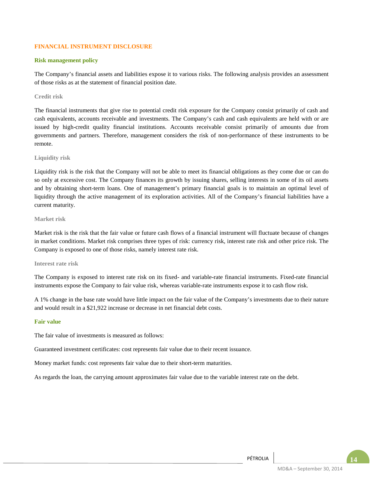#### **FINANCIAL INSTRUMENT DISCLOSURE**

#### **Risk management policy**

The Company's financial assets and liabilities expose it to various risks. The following analysis provides an assessment of those risks as at the statement of financial position date.

**Credit risk**

The financial instruments that give rise to potential credit risk exposure for the Company consist primarily of cash and cash equivalents, accounts receivable and investments. The Company's cash and cash equivalents are held with or are issued by high-credit quality financial institutions. Accounts receivable consist primarily of amounts due from governments and partners. Therefore, management considers the risk of non-performance of these instruments to be remote.

#### **Liquidity risk**

Liquidity risk is the risk that the Company will not be able to meet its financial obligations as they come due or can do so only at excessive cost. The Company finances its growth by issuing shares, selling interests in some of its oil assets and by obtaining short-term loans. One of management's primary financial goals is to maintain an optimal level of liquidity through the active management of its exploration activities. All of the Company's financial liabilities have a current maturity.

#### **Market risk**

Market risk is the risk that the fair value or future cash flows of a financial instrument will fluctuate because of changes in market conditions. Market risk comprises three types of risk: currency risk, interest rate risk and other price risk. The Company is exposed to one of those risks, namely interest rate risk.

#### **Interest rate risk**

The Company is exposed to interest rate risk on its fixed- and variable-rate financial instruments. Fixed-rate financial instruments expose the Company to fair value risk, whereas variable-rate instruments expose it to cash flow risk.

A 1% change in the base rate would have little impact on the fair value of the Company's investments due to their nature and would result in a \$21,922 increase or decrease in net financial debt costs.

#### **Fair value**

The fair value of investments is measured as follows:

Guaranteed investment certificates: cost represents fair value due to their recent issuance.

Money market funds: cost represents fair value due to their short-term maturities.

As regards the loan, the carrying amount approximates fair value due to the variable interest rate on the debt.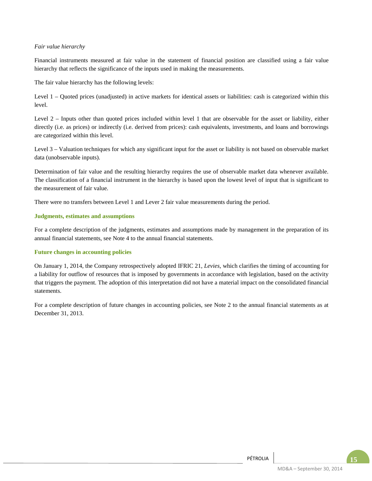#### *Fair value hierarchy*

Financial instruments measured at fair value in the statement of financial position are classified using a fair value hierarchy that reflects the significance of the inputs used in making the measurements.

The fair value hierarchy has the following levels:

Level 1 – Quoted prices (unadjusted) in active markets for identical assets or liabilities: cash is categorized within this level.

Level 2 – Inputs other than quoted prices included within level 1 that are observable for the asset or liability, either directly (i.e. as prices) or indirectly (i.e. derived from prices): cash equivalents, investments, and loans and borrowings are categorized within this level.

Level 3 – Valuation techniques for which any significant input for the asset or liability is not based on observable market data (unobservable inputs).

Determination of fair value and the resulting hierarchy requires the use of observable market data whenever available. The classification of a financial instrument in the hierarchy is based upon the lowest level of input that is significant to the measurement of fair value.

There were no transfers between Level 1 and Lever 2 fair value measurements during the period.

#### **Judgments, estimates and assumptions**

For a complete description of the judgments, estimates and assumptions made by management in the preparation of its annual financial statements, see Note 4 to the annual financial statements.

#### **Future changes in accounting policies**

On January 1, 2014, the Company retrospectively adopted IFRIC 21, *Levies*, which clarifies the timing of accounting for a liability for outflow of resources that is imposed by governments in accordance with legislation, based on the activity that triggers the payment. The adoption of this interpretation did not have a material impact on the consolidated financial statements.

For a complete description of future changes in accounting policies, see Note 2 to the annual financial statements as at December 31, 2013.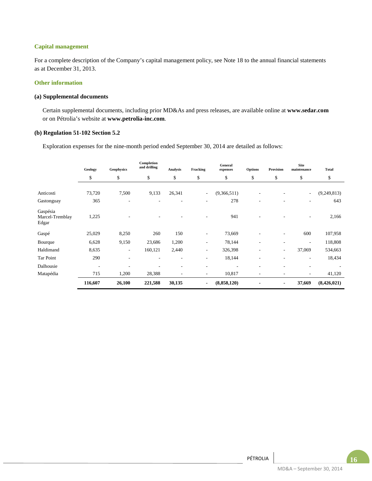#### **Capital management**

For a complete description of the Company's capital management policy, see Note 18 to the annual financial statements as at December 31, 2013.

#### **Other information**

#### **(a) Supplemental documents**

Certain supplemental documents, including prior MD&As and press releases, are available online at **www.sedar.com**  or on Pétrolia's website at **www.petrolia-inc.com**.

#### **(b) Regulation 51-102 Section 5.2**

Exploration expenses for the nine-month period ended September 30, 2014 are detailed as follows:

|                                      | Geology                  | Geophysics     | Completion<br>and drilling | Analysis       | Fracking                 | General<br>expenses | Options                  | Provision                | <b>Site</b><br>maintenance | <b>Total</b> |
|--------------------------------------|--------------------------|----------------|----------------------------|----------------|--------------------------|---------------------|--------------------------|--------------------------|----------------------------|--------------|
|                                      | \$                       | \$             | \$                         | \$             | \$                       | \$                  | \$                       | \$                       | \$                         | \$           |
| Anticosti                            | 73,720                   | 7,500          | 9,133                      | 26,341         | $\overline{\phantom{a}}$ | (9,366,511)         |                          |                          | $\overline{\phantom{a}}$   | (9,249,813)  |
| Gastonguay                           | 365                      | ٠              |                            | ٠              | ٠                        | 278                 | ٠                        |                          | ٠                          | 643          |
| Gaspésia<br>Marcel-Tremblay<br>Edgar | 1,225                    |                |                            |                |                          | 941                 |                          |                          | ٠                          | 2,166        |
| Gaspé                                | 25,029                   | 8,250          | 260                        | 150            | $\overline{a}$           | 73,669              |                          | ٠                        | 600                        | 107,958      |
| Bourque                              | 6,628                    | 9,150          | 23,686                     | 1,200          | $\overline{\phantom{a}}$ | 78,144              | ٠                        | $\overline{\phantom{a}}$ | $\overline{\phantom{a}}$   | 118,808      |
| Haldimand                            | 8.635                    | ٠              | 160,121                    | 2,440          | $\overline{\phantom{a}}$ | 326,398             | $\overline{\phantom{a}}$ | ۰                        | 37,069                     | 534,663      |
| Tar Point                            | 290                      | $\overline{a}$ |                            | ٠              | $\overline{\phantom{a}}$ | 18,144              |                          | ٠                        | $\overline{\phantom{a}}$   | 18,434       |
| Dalhousie                            | $\overline{\phantom{a}}$ | ٠              |                            | ٠              | ٠                        |                     |                          |                          | $\overline{\phantom{a}}$   |              |
| Matapédia                            | 715                      | 1,200          | 28,388                     | $\overline{a}$ | $\sim$                   | 10,817              | ۰.                       | ۰                        | ٠                          | 41,120       |
|                                      | 116,607                  | 26,100         | 221,588                    | 30,135         | $\blacksquare$           | (8,858,120)         | $\overline{\phantom{a}}$ | $\blacksquare$           | 37,669                     | (8,426,021)  |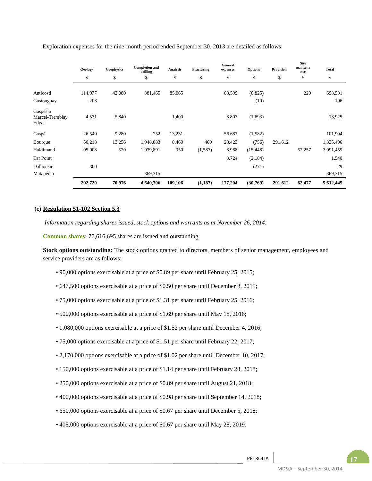|                                      | Geology | <b>Geophysics</b> | <b>Completion and</b><br>drilling | Analysis | Fracturing | General<br>expenses | <b>Options</b> | Provision | <b>Site</b><br>maintena<br>nce | <b>Total</b> |
|--------------------------------------|---------|-------------------|-----------------------------------|----------|------------|---------------------|----------------|-----------|--------------------------------|--------------|
|                                      | \$      | \$                | \$                                | \$       | \$         | \$                  | \$             | \$        | \$                             | \$           |
| Anticosti                            | 114,977 | 42,080            | 381,465                           | 85,065   |            | 83,599              | (8, 825)       |           | 220                            | 698,581      |
| Gastonguay                           | 206     |                   |                                   |          |            |                     | (10)           |           |                                | 196          |
| Gaspésia<br>Marcel-Tremblay<br>Edgar | 4,571   | 5,840             |                                   | 1,400    |            | 3,807               | (1,693)        |           |                                | 13,925       |
| Gaspé                                | 26,540  | 9,280             | 752                               | 13,231   |            | 56,683              | (1, 582)       |           |                                | 101,904      |
| Bourque                              | 50,218  | 13,256            | 1,948,883                         | 8,460    | 400        | 23,423              | (756)          | 291,612   |                                | 1,335,496    |
| Haldimand                            | 95,908  | 520               | 1,939,891                         | 950      | (1,587)    | 8,968               | (15, 448)      |           | 62,257                         | 2,091,459    |
| Tar Point                            |         |                   |                                   |          |            | 3,724               | (2,184)        |           |                                | 1,540        |
| Dalhousie                            | 300     |                   |                                   |          |            |                     | (271)          |           |                                | 29           |
| Matapédia                            |         |                   | 369,315                           |          |            |                     |                |           |                                | 369,315      |
|                                      | 292,720 | 70,976            | 4,640,306                         | 109,106  | (1,187)    | 177,204             | (30,769)       | 291,612   | 62,477                         | 5,612,445    |

Exploration expenses for the nine-month period ended September 30, 2013 are detailed as follows:

#### **(c) Regulation 51-102 Section 5.3**

*Information regarding shares issued, stock options and warrants as at November 26, 2014:*

**Common shares:** 77,616,695 shares are issued and outstanding.

**Stock options outstanding:** The stock options granted to directors, members of senior management, employees and service providers are as follows:

- 90,000 options exercisable at a price of \$0.89 per share until February 25, 2015;
- 647,500 options exercisable at a price of \$0.50 per share until December 8, 2015;
- 75,000 options exercisable at a price of \$1.31 per share until February 25, 2016;
- 500,000 options exercisable at a price of \$1.69 per share until May 18, 2016;
- 1,080,000 options exercisable at a price of \$1.52 per share until December 4, 2016;
- 75,000 options exercisable at a price of \$1.51 per share until February 22, 2017;
- 2,170,000 options exercisable at a price of \$1.02 per share until December 10, 2017;
- 150,000 options exercisable at a price of \$1.14 per share until February 28, 2018;
- 250,000 options exercisable at a price of \$0.89 per share until August 21, 2018;
- 400,000 options exercisable at a price of \$0.98 per share until September 14, 2018;
- 650,000 options exercisable at a price of \$0.67 per share until December 5, 2018;
- 405,000 options exercisable at a price of \$0.67 per share until May 28, 2019;